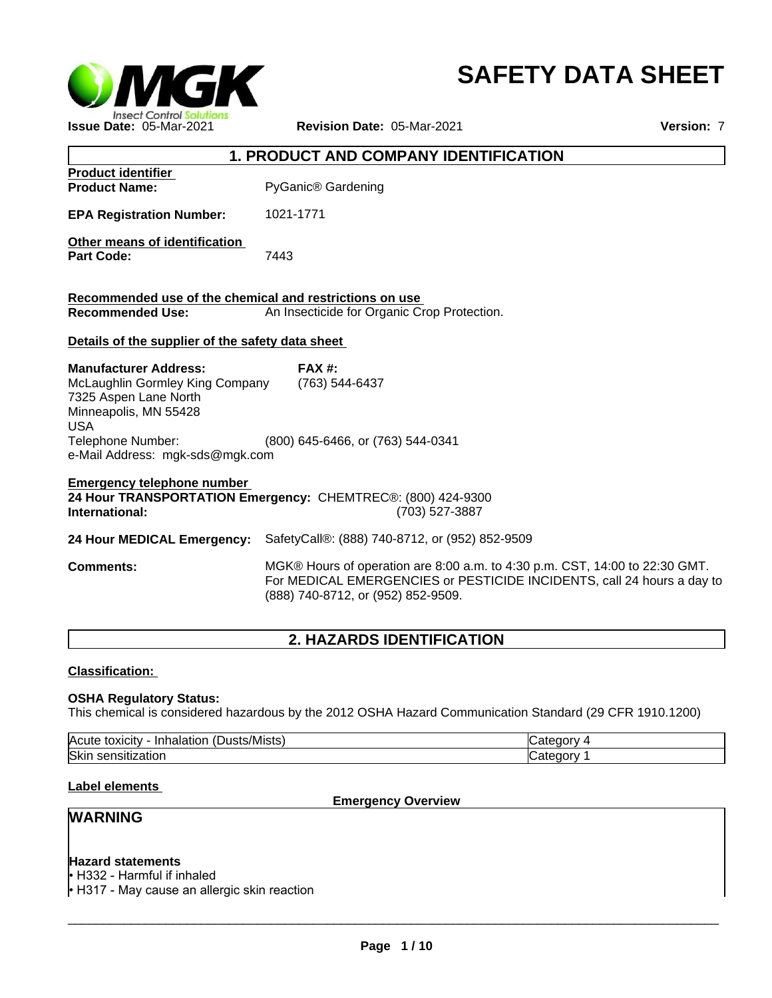

# **SAFETY DATA SHEET**

|                                                                                                                                                                                         | <b>1. PRODUCT AND COMPANY IDENTIFICATION</b>                                                                                                                                                |
|-----------------------------------------------------------------------------------------------------------------------------------------------------------------------------------------|---------------------------------------------------------------------------------------------------------------------------------------------------------------------------------------------|
| <b>Product identifier</b><br><b>Product Name:</b>                                                                                                                                       | PyGanic <sup>®</sup> Gardening                                                                                                                                                              |
| <b>EPA Registration Number:</b>                                                                                                                                                         | 1021-1771                                                                                                                                                                                   |
| Other means of identification<br><b>Part Code:</b>                                                                                                                                      | 7443                                                                                                                                                                                        |
| Recommended use of the chemical and restrictions on use<br><b>Recommended Use:</b>                                                                                                      | An Insecticide for Organic Crop Protection.                                                                                                                                                 |
| Details of the supplier of the safety data sheet                                                                                                                                        |                                                                                                                                                                                             |
| <b>Manufacturer Address:</b><br>McLaughlin Gormley King Company<br>7325 Aspen Lane North<br>Minneapolis, MN 55428<br><b>USA</b><br>Telephone Number:<br>e-Mail Address: mgk-sds@mgk.com | $FAX#$ :<br>(763) 544-6437<br>(800) 645-6466, or (763) 544-0341                                                                                                                             |
| <b>Emergency telephone number</b><br>International:                                                                                                                                     | 24 Hour TRANSPORTATION Emergency: CHEMTREC®: (800) 424-9300<br>(703) 527-3887                                                                                                               |
|                                                                                                                                                                                         | 24 Hour MEDICAL Emergency: SafetyCall®: (888) 740-8712, or (952) 852-9509                                                                                                                   |
| <b>Comments:</b>                                                                                                                                                                        | MGK® Hours of operation are 8:00 a.m. to 4:30 p.m. CST, 14:00 to 22:30 GMT.<br>For MEDICAL EMERGENCIES or PESTICIDE INCIDENTS, call 24 hours a day to<br>(888) 740-8712, or (952) 852-9509. |

# **2. HAZARDS IDENTIFICATION**

## **Classification:**

# **OSHA Regulatory Status:**

This chemical is considered hazardous by the 2012 OSHA Hazard Communication Standard (29 CFR 1910.1200)

| .<br>$\sqrt{2}$<br>Acute<br>Dusts/Mists)<br>.<br>toxicity<br>Inhalation | ∂n∩rv<br>. |
|-------------------------------------------------------------------------|------------|
| <b>Skir</b>                                                             | ∴tennry    |
| sensitization                                                           | - vu -     |

# **Label elements**

**Emergency Overview**

# **WARNING**

# **Hazard statements**

• H332 - Harmful if inhaled

 $\cdot$  H317 - May cause an allergic skin reaction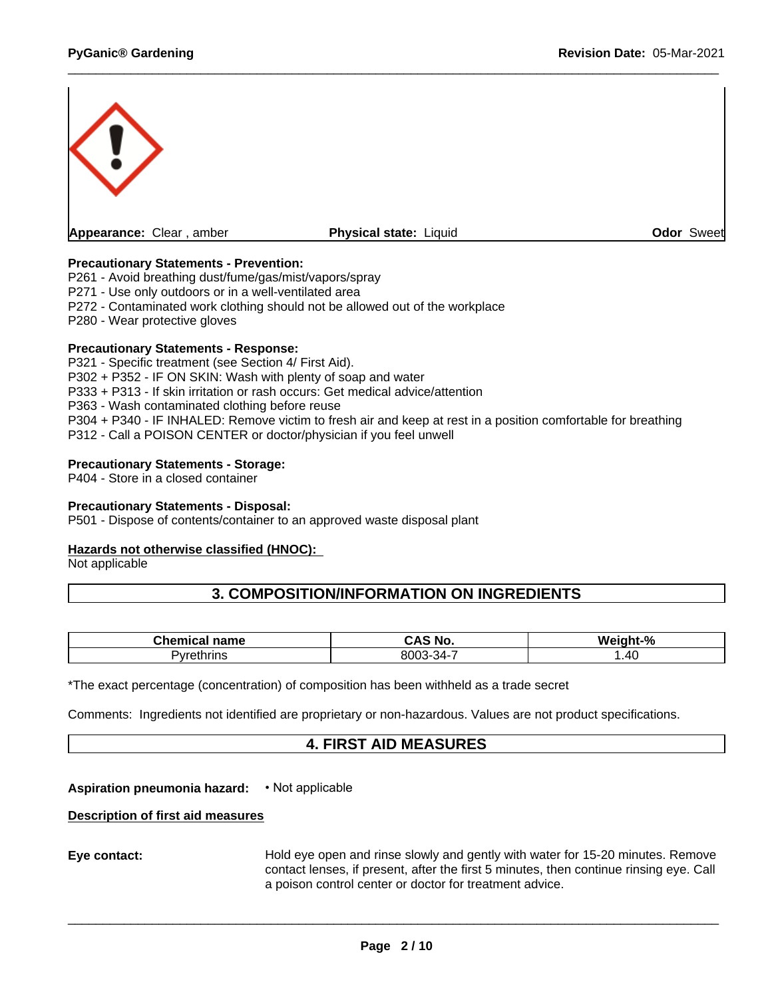

# **Precautionary Statements - Prevention:**

P261 - Avoid breathing dust/fume/gas/mist/vapors/spray

P271 - Use only outdoors or in a well-ventilated area

P272 - Contaminated work clothing should not be allowed out of the workplace

P280 - Wear protective gloves

#### **Precautionary Statements - Response:**

P321 - Specific treatment (see Section 4/ First Aid). P302 + P352 - IF ON SKIN: Wash with plenty of soap and water P333 + P313 - If skin irritation or rash occurs: Get medical advice/attention P363 - Wash contaminated clothing before reuse P304 + P340 - IF INHALED: Remove victim to fresh air and keep at rest in a position comfortable for breathing P312 - Call a POISON CENTER or doctor/physician if you feel unwell

#### **Precautionary Statements - Storage:**

P404 - Store in a closed container

#### **Precautionary Statements - Disposal:**

P501 - Dispose of contents/container to an approved waste disposal plant

#### **Hazards not otherwise classified (HNOC):**

Not applicable

# **3. COMPOSITION/INFORMATION ON INGREDIENTS**

| <b>Contract Contract Contract Contract Contract Contract Contract Contract Contract Contract Contract Contract Contract Contract Contract Contract Contract Contract Contract Contract Contract Contract Contract Contract Contr</b><br>name<br>ne | .<br>.<br><b>No</b><br>$\mathbf{w}$ | <b>Weight</b><br>$\Omega$<br>70 |
|----------------------------------------------------------------------------------------------------------------------------------------------------------------------------------------------------------------------------------------------------|-------------------------------------|---------------------------------|
| ‴≏thrins<br>$\sim$ $\sqrt{2}$                                                                                                                                                                                                                      | o∩∩⊆<br>-371.<br>$-1$<br>∼.<br>. .  | $\Lambda$<br>$\cdot$ . Tv       |

\*The exact percentage (concentration) of composition has been withheld as a trade secret

Comments: Ingredients not identified are proprietary or non-hazardous. Values are not product specifications.

# **4. FIRST AID MEASURES**

**Aspiration pneumonia hazard:** • Not applicable

## **Description of first aid measures**

**Eye contact:** Hold eye open and rinse slowly and gently with water for15-20 minutes. Remove contact lenses, if present, after the first 5 minutes, then continue rinsing eye. Call a poison control center or doctor for treatment advice.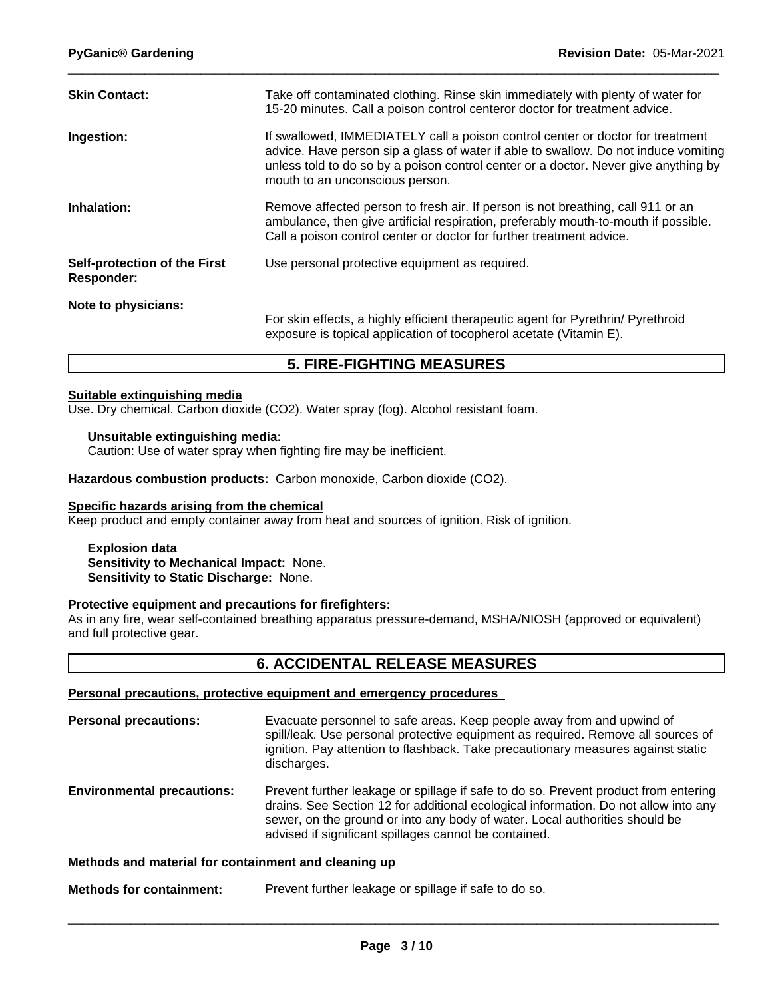| Take off contaminated clothing. Rinse skin immediately with plenty of water for<br>15-20 minutes. Call a poison control centeror doctor for treatment advice.<br>If swallowed, IMMEDIATELY call a poison control center or doctor for treatment<br>advice. Have person sip a glass of water if able to swallow. Do not induce vomiting<br>unless told to do so by a poison control center or a doctor. Never give anything by<br>mouth to an unconscious person.<br>Remove affected person to fresh air. If person is not breathing, call 911 or an<br>ambulance, then give artificial respiration, preferably mouth-to-mouth if possible.<br>Call a poison control center or doctor for further treatment advice.<br>Use personal protective equipment as required.<br>For skin effects, a highly efficient therapeutic agent for Pyrethrin/ Pyrethroid<br>exposure is topical application of tocopherol acetate (Vitamin E). |                      |  |
|--------------------------------------------------------------------------------------------------------------------------------------------------------------------------------------------------------------------------------------------------------------------------------------------------------------------------------------------------------------------------------------------------------------------------------------------------------------------------------------------------------------------------------------------------------------------------------------------------------------------------------------------------------------------------------------------------------------------------------------------------------------------------------------------------------------------------------------------------------------------------------------------------------------------------------|----------------------|--|
| Ingestion:<br>Inhalation:<br>Self-protection of the First<br><b>Responder:</b><br>Note to physicians:                                                                                                                                                                                                                                                                                                                                                                                                                                                                                                                                                                                                                                                                                                                                                                                                                          | <b>Skin Contact:</b> |  |
|                                                                                                                                                                                                                                                                                                                                                                                                                                                                                                                                                                                                                                                                                                                                                                                                                                                                                                                                |                      |  |
|                                                                                                                                                                                                                                                                                                                                                                                                                                                                                                                                                                                                                                                                                                                                                                                                                                                                                                                                |                      |  |
|                                                                                                                                                                                                                                                                                                                                                                                                                                                                                                                                                                                                                                                                                                                                                                                                                                                                                                                                |                      |  |
|                                                                                                                                                                                                                                                                                                                                                                                                                                                                                                                                                                                                                                                                                                                                                                                                                                                                                                                                |                      |  |

# **5. FIRE-FIGHTING MEASURES**

#### **Suitable extinguishing media**

Use. Dry chemical. Carbon dioxide (CO2). Water spray (fog). Alcohol resistant foam.

## **Unsuitable extinguishing media:**

Caution: Use of water spray when fighting fire may be inefficient.

**Hazardous combustion products:** Carbon monoxide, Carbon dioxide (CO2).

#### **Specific hazards arising from the chemical**

Keep product and empty container away from heat and sources of ignition. Risk of ignition.

#### **Explosion data Sensitivity to Mechanical Impact:** None. **Sensitivity to Static Discharge:** None.

#### **Protective equipment and precautions for firefighters:**

As in any fire, wear self-contained breathing apparatus pressure-demand, MSHA/NIOSH (approved or equivalent) and full protective gear.

# **6. ACCIDENTAL RELEASE MEASURES**

#### **Personal precautions, protective equipment and emergency procedures**

| <b>Personal precautions:</b>      | Evacuate personnel to safe areas. Keep people away from and upwind of<br>spill/leak. Use personal protective equipment as required. Remove all sources of<br>ignition. Pay attention to flashback. Take precautionary measures against static<br>discharges.                                                       |
|-----------------------------------|--------------------------------------------------------------------------------------------------------------------------------------------------------------------------------------------------------------------------------------------------------------------------------------------------------------------|
| <b>Environmental precautions:</b> | Prevent further leakage or spillage if safe to do so. Prevent product from entering<br>drains. See Section 12 for additional ecological information. Do not allow into any<br>sewer, on the ground or into any body of water. Local authorities should be<br>advised if significant spillages cannot be contained. |

#### **Methods and material for containment and cleaning up**

**Methods for containment:** Prevent further leakage or spillage if safe to do so.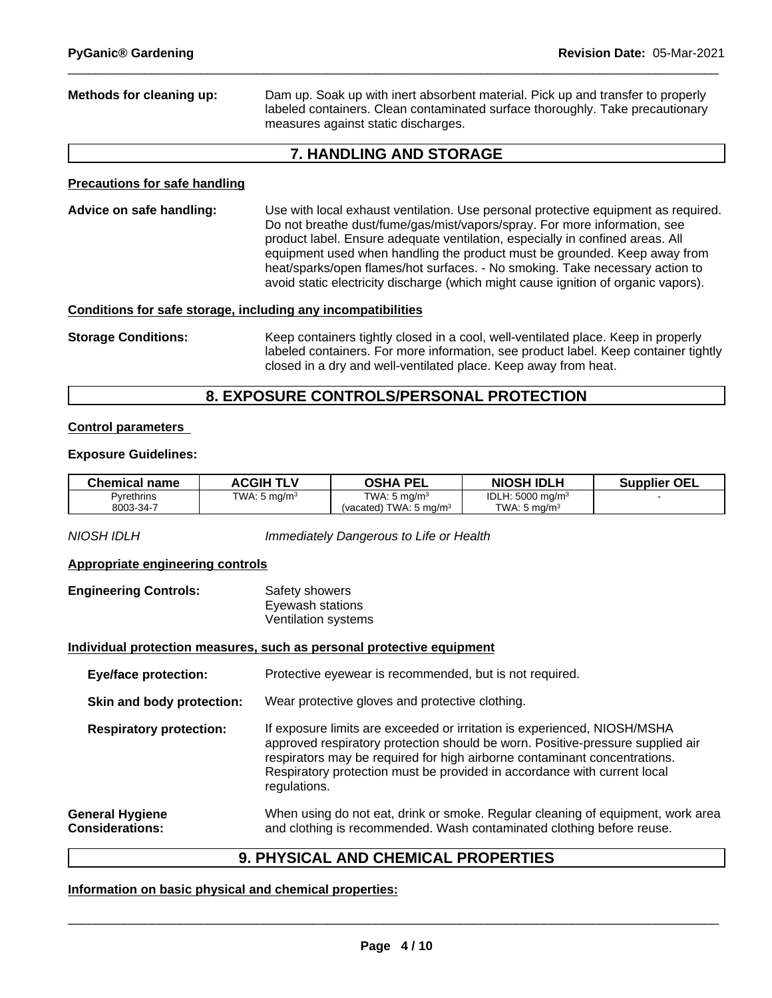**Methods for cleaning up:** Dam up. Soak up with inert absorbent material. Pick up and transfer to properly labeled containers. Clean contaminated surface thoroughly. Take precautionary measures against static discharges.

# **7. HANDLING AND STORAGE**

## **Precautions for safe handling**

**Advice on safe handling:** Use with local exhaust ventilation. Use personal protective equipment as required.<br>Do not breathe dust/fume/gas/mist/vapors/spray. For more information, see product label. Ensure adequate ventilation, especially in confined areas. All equipment used when handling the product must be grounded. Keep away from heat/sparks/open flames/hot surfaces. - No smoking. Take necessary action to avoid static electricity discharge (which might cause ignition of organic vapors).

## **Conditions for safe storage, including any incompatibilities**

**Storage Conditions:** Keep containers tightly closed in a cool, well-ventilated place. Keep in properly labeled containers. For more information, see product label. Keep container tightly closed in a dry and well-ventilated place. Keep away from heat.

# **8. EXPOSURE CONTROLS/PERSONAL PROTECTION**

## **Control parameters**

## **Exposure Guidelines:**

| <b>Chemical name</b> | <b>ACGIH TLV</b>        | <b>OSHA PEL</b>                   | <b>NIOSH IDLH</b>            | <b>Supplier OEL</b> |
|----------------------|-------------------------|-----------------------------------|------------------------------|---------------------|
| Pyrethrins           | TWA: $5 \text{ mg/m}^3$ | TWA: $5 \text{ mg/m}^3$           | IDLH: 5000 mg/m <sup>3</sup> |                     |
| 8003-34-7            |                         | (vacated) TWA: $5 \text{ ma/m}^3$ | TWA: 5 ma/m <sup>3</sup>     |                     |

*NIOSH IDLH Immediately Dangerous to Life or Health*

## **Appropriate engineering controls**

**Engineering Controls:** Safety showers Eyewash stations Ventilation systems

## **Individual protection measures, such as personal protective equipment**

**Eye/face protection:** Protective eyewear is recommended, but is not required.

**Skin and body protection:** Wear protective gloves and protective clothing.

**Respiratory protection:** If exposure limits are exceeded or irritation is experienced, NIOSH/MSHA approved respiratory protection should be worn. Positive-pressure supplied air respirators may be required for high airborne contaminant concentrations. Respiratory protection must be provided in accordance with current local regulations.

**General Hygiene Considerations:** When using do not eat, drink or smoke. Regular cleaning of equipment, work area and clothing is recommended. Wash contaminated clothing before reuse.

# **9. PHYSICAL AND CHEMICAL PROPERTIES**

## **Information on basic physical and chemical properties:**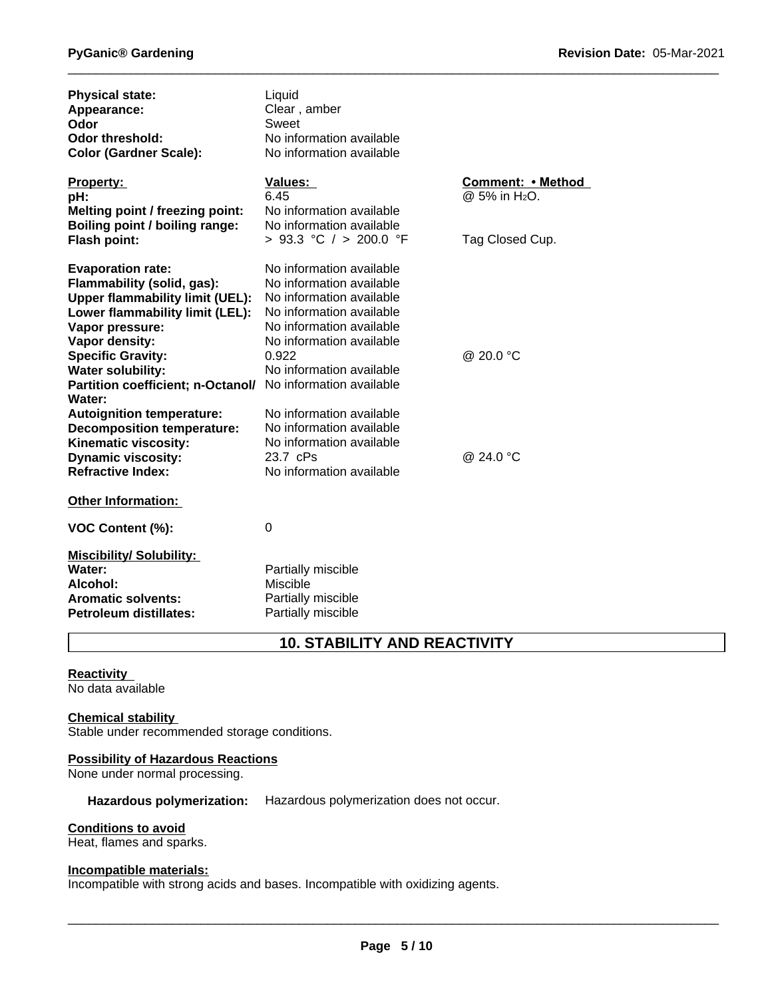| <b>Physical state:</b><br>Appearance:<br>Odor<br><b>Odor threshold:</b><br><b>Color (Gardner Scale):</b>                                                                                                                                                                                                                                                                                                                                  | Liquid<br>Clear, amber<br>Sweet<br>No information available<br>No information available                                                                                                                                                                                                                                                                           |                                                                   |
|-------------------------------------------------------------------------------------------------------------------------------------------------------------------------------------------------------------------------------------------------------------------------------------------------------------------------------------------------------------------------------------------------------------------------------------------|-------------------------------------------------------------------------------------------------------------------------------------------------------------------------------------------------------------------------------------------------------------------------------------------------------------------------------------------------------------------|-------------------------------------------------------------------|
| <b>Property:</b><br>pH:<br>Melting point / freezing point:<br>Boiling point / boiling range:<br>Flash point:                                                                                                                                                                                                                                                                                                                              | <b>Values:</b><br>6.45<br>No information available<br>No information available<br>> 93.3 °C / > 200.0 °F                                                                                                                                                                                                                                                          | Comment: • Method<br>@ 5% in H <sub>2</sub> O.<br>Tag Closed Cup. |
| <b>Evaporation rate:</b><br>Flammability (solid, gas):<br><b>Upper flammability limit (UEL):</b><br>Lower flammability limit (LEL):<br>Vapor pressure:<br>Vapor density:<br><b>Specific Gravity:</b><br><b>Water solubility:</b><br>Partition coefficient; n-Octanol/<br>Water:<br><b>Autoignition temperature:</b><br><b>Decomposition temperature:</b><br>Kinematic viscosity:<br><b>Dynamic viscosity:</b><br><b>Refractive Index:</b> | No information available<br>No information available<br>No information available<br>No information available<br>No information available<br>No information available<br>0.922<br>No information available<br>No information available<br>No information available<br>No information available<br>No information available<br>23.7 cPs<br>No information available | @ 20.0 °C<br>@ 24.0 °C                                            |
| <b>Other Information:</b>                                                                                                                                                                                                                                                                                                                                                                                                                 |                                                                                                                                                                                                                                                                                                                                                                   |                                                                   |
| VOC Content (%):                                                                                                                                                                                                                                                                                                                                                                                                                          | 0                                                                                                                                                                                                                                                                                                                                                                 |                                                                   |
| <b>Miscibility/ Solubility:</b><br>Water:<br>Alcohol:<br><b>Aromatic solvents:</b><br><b>Petroleum distillates:</b>                                                                                                                                                                                                                                                                                                                       | Partially miscible<br>Miscible<br>Partially miscible<br>Partially miscible                                                                                                                                                                                                                                                                                        |                                                                   |

# **10. STABILITY AND REACTIVITY**

# **Reactivity**

No data available

## **Chemical stability**

Stable under recommended storage conditions.

## **Possibility of Hazardous Reactions**

None under normal processing.

## **Hazardous polymerization:** Hazardous polymerization does not occur.

#### **Conditions to avoid**

Heat, flames and sparks.

#### **Incompatible materials:**

Incompatible with strong acids and bases. Incompatible with oxidizing agents.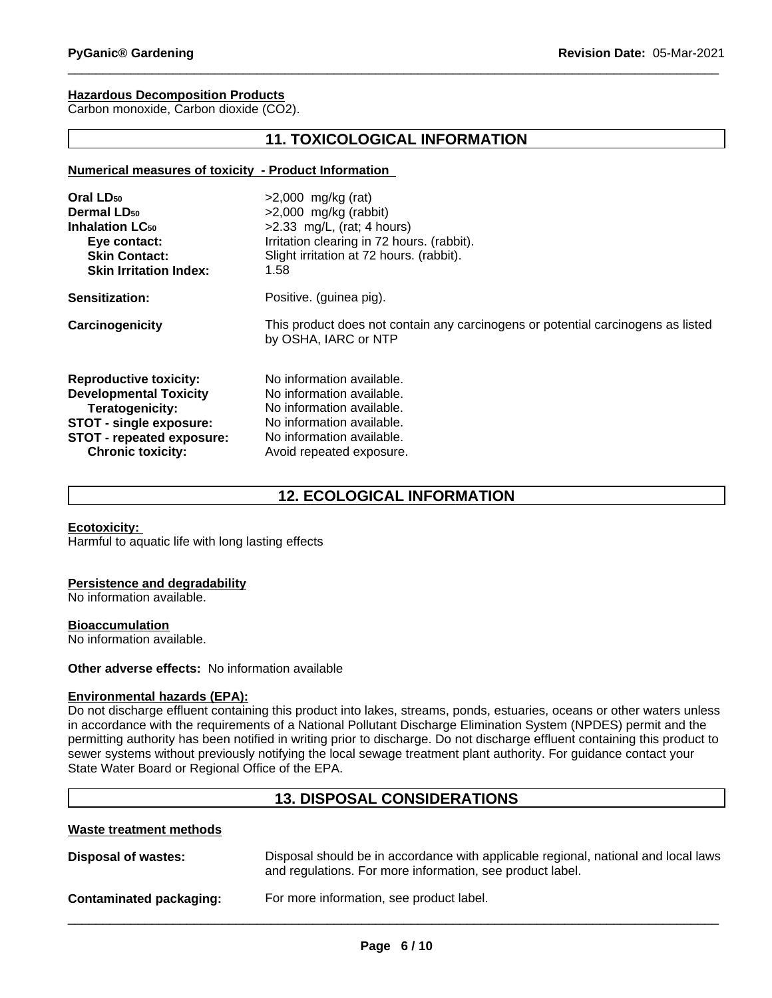## **Hazardous Decomposition Products**

Carbon monoxide, Carbon dioxide (CO2).

# **11. TOXICOLOGICAL INFORMATION**

#### **Numerical measures of toxicity - Product Information**

| Oral LD <sub>50</sub>             | $>2,000$ mg/kg (rat)                                                                                     |
|-----------------------------------|----------------------------------------------------------------------------------------------------------|
| Dermal LD <sub>50</sub>           | $>2,000$ mg/kg (rabbit)                                                                                  |
| <b>Inhalation LC<sub>50</sub></b> | $>2.33$ mg/L, (rat; 4 hours)                                                                             |
| Eye contact:                      | Irritation clearing in 72 hours. (rabbit).                                                               |
| <b>Skin Contact:</b>              | Slight irritation at 72 hours. (rabbit).                                                                 |
| <b>Skin Irritation Index:</b>     | 1.58                                                                                                     |
| Sensitization:                    | Positive. (guinea pig).                                                                                  |
| Carcinogenicity                   | This product does not contain any carcinogens or potential carcinogens as listed<br>by OSHA, IARC or NTP |
| <b>Reproductive toxicity:</b>     | No information available.                                                                                |
| <b>Developmental Toxicity</b>     | No information available.                                                                                |
| Teratogenicity:                   | No information available.                                                                                |
| STOT - single exposure:           | No information available.                                                                                |
| STOT - repeated exposure:         | No information available.                                                                                |
| <b>Chronic toxicity:</b>          | Avoid repeated exposure.                                                                                 |

# **12. ECOLOGICAL INFORMATION**

#### **Ecotoxicity:**

Harmful to aquatic life with long lasting effects

#### **Persistence and degradability**

No information available.

#### **Bioaccumulation**

No information available.

#### **Other adverse effects:** No information available

## **Environmental hazards (EPA):**

Do not discharge effluent containing this product into lakes, streams, ponds, estuaries, oceans or other waters unless in accordance with the requirements of a National Pollutant Discharge Elimination System (NPDES) permit and the permitting authority has been notified in writing prior to discharge. Do not discharge effluent containing this product to sewer systems without previously notifying the local sewage treatment plant authority. For guidance contact your State Water Board or Regional Office of the EPA.

# **13. DISPOSAL CONSIDERATIONS**

#### **Waste treatment methods**

| Disposal of wastes:     | Disposal should be in accordance with applicable regional, national and local laws<br>and regulations. For more information, see product label. |
|-------------------------|-------------------------------------------------------------------------------------------------------------------------------------------------|
| Contaminated packaging: | For more information, see product label.                                                                                                        |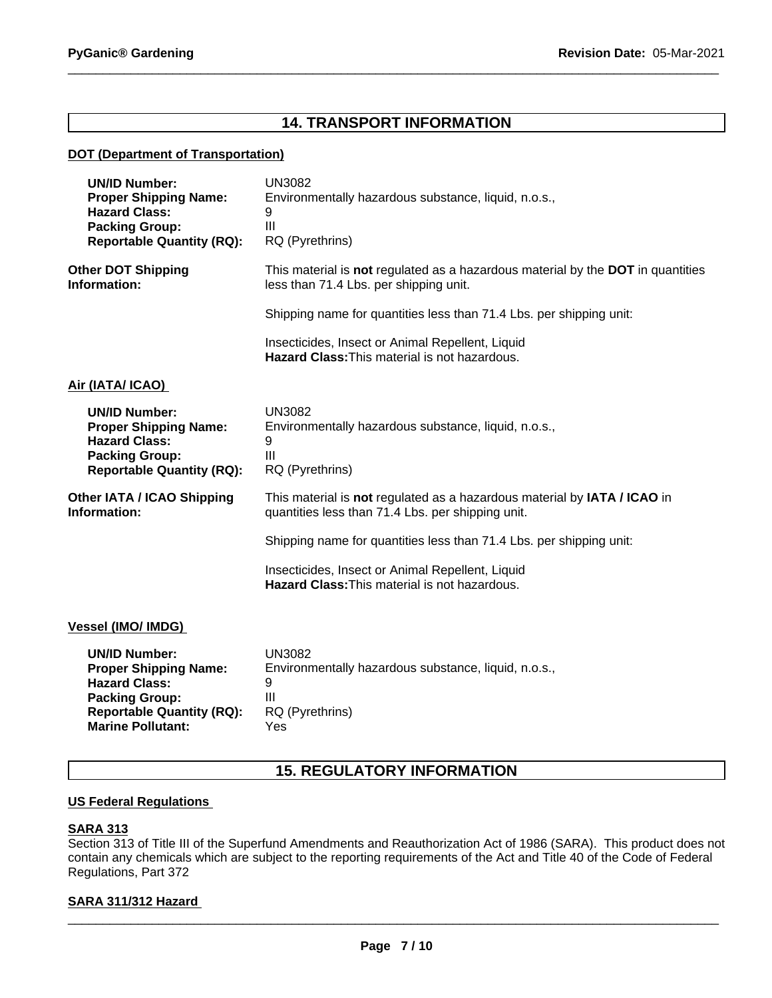# **14. TRANSPORT INFORMATION**

## **DOT (Department of Transportation)**

| <b>UN/ID Number:</b><br><b>Proper Shipping Name:</b><br><b>Hazard Class:</b><br><b>Packing Group:</b><br><b>Reportable Quantity (RQ):</b>                             | <b>UN3082</b><br>Environmentally hazardous substance, liquid, n.o.s.,<br>9<br>III<br>RQ (Pyrethrins)                          |
|-----------------------------------------------------------------------------------------------------------------------------------------------------------------------|-------------------------------------------------------------------------------------------------------------------------------|
| <b>Other DOT Shipping</b><br>Information:                                                                                                                             | This material is not regulated as a hazardous material by the DOT in quantities<br>less than 71.4 Lbs. per shipping unit.     |
|                                                                                                                                                                       | Shipping name for quantities less than 71.4 Lbs. per shipping unit:                                                           |
|                                                                                                                                                                       | Insecticides, Insect or Animal Repellent, Liquid<br><b>Hazard Class: This material is not hazardous.</b>                      |
| Air (IATA/ ICAO)                                                                                                                                                      |                                                                                                                               |
| <b>UN/ID Number:</b><br><b>Proper Shipping Name:</b><br><b>Hazard Class:</b><br><b>Packing Group:</b><br><b>Reportable Quantity (RQ):</b>                             | <b>UN3082</b><br>Environmentally hazardous substance, liquid, n.o.s.,<br>9<br>III<br>RQ (Pyrethrins)                          |
| Other IATA / ICAO Shipping<br>Information:                                                                                                                            | This material is not regulated as a hazardous material by IATA / ICAO in<br>quantities less than 71.4 Lbs. per shipping unit. |
|                                                                                                                                                                       | Shipping name for quantities less than 71.4 Lbs. per shipping unit:                                                           |
|                                                                                                                                                                       | Insecticides, Insect or Animal Repellent, Liquid<br><b>Hazard Class: This material is not hazardous.</b>                      |
| Vessel (IMO/ IMDG)                                                                                                                                                    |                                                                                                                               |
| <b>UN/ID Number:</b><br><b>Proper Shipping Name:</b><br><b>Hazard Class:</b><br><b>Packing Group:</b><br><b>Reportable Quantity (RQ):</b><br><b>Marine Pollutant:</b> | <b>UN3082</b><br>Environmentally hazardous substance, liquid, n.o.s.,<br>9<br>Ш<br>RQ (Pyrethrins)<br>Yes                     |

# **15. REGULATORY INFORMATION**

## **US Federal Regulations**

## **SARA 313**

Section 313 of Title III of the Superfund Amendments and Reauthorization Act of 1986 (SARA). This product does not contain any chemicals which are subject to the reporting requirements of the Act and Title 40 of the Code of Federal Regulations, Part 372

# **SARA 311/312 Hazard**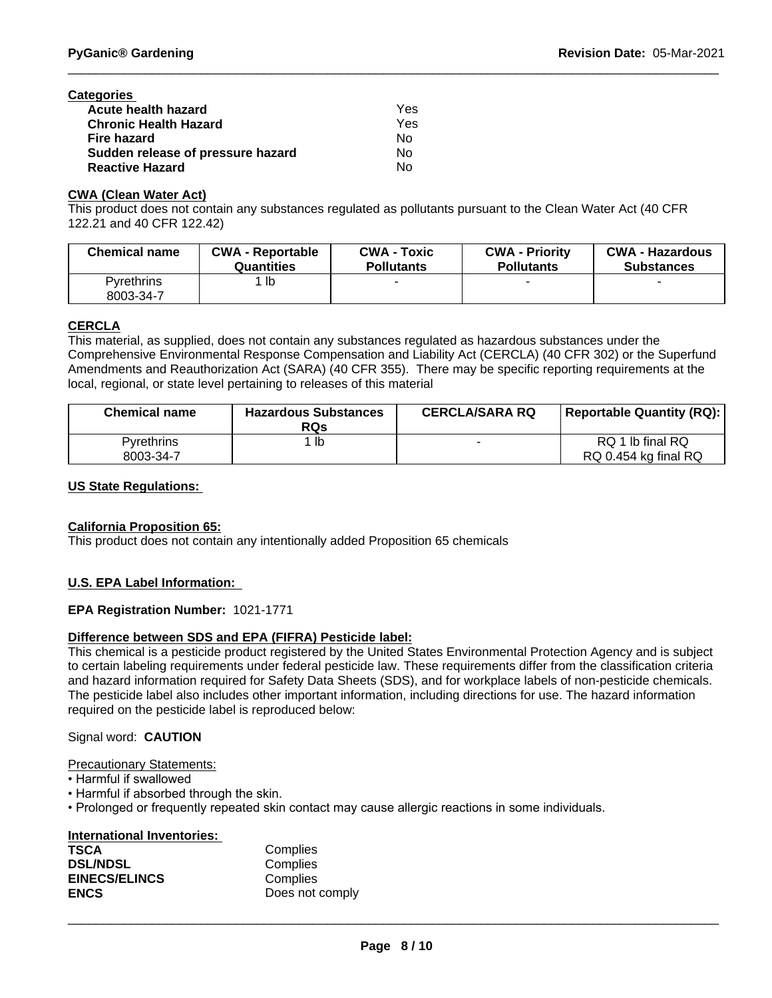| Categories                        |     |  |
|-----------------------------------|-----|--|
| <b>Acute health hazard</b>        | Yes |  |
| <b>Chronic Health Hazard</b>      | Yes |  |
| Fire hazard                       | Nο  |  |
| Sudden release of pressure hazard | Nο  |  |
| <b>Reactive Hazard</b>            | No  |  |

#### **CWA (Clean Water Act)**

This product does not contain any substances regulated as pollutants pursuant to the Clean Water Act (40 CFR 122.21 and 40 CFR 122.42)

| <b>Chemical name</b>           | <b>CWA - Reportable</b><br>Quantities | CWA -<br>Toxic<br><b>Pollutants</b> | <b>CWA - Priority</b><br><b>Pollutants</b> | <b>CWA - Hazardous</b><br><b>Substances</b> |
|--------------------------------|---------------------------------------|-------------------------------------|--------------------------------------------|---------------------------------------------|
| <b>Pyrethrins</b><br>8003-34-7 | lb                                    |                                     |                                            |                                             |
|                                |                                       |                                     |                                            |                                             |

# **CERCLA**

This material, as supplied, does not contain any substances regulated as hazardous substances under the Comprehensive Environmental Response Compensation and Liability Act (CERCLA) (40 CFR 302) or the Superfund Amendments and Reauthorization Act (SARA) (40 CFR 355). There may be specific reporting requirements at the local, regional, or state level pertaining to releases of this material

| <b>Chemical name</b> | <b>Hazardous Substances</b><br><b>RQs</b> | <b>CERCLA/SARA RQ</b> | <b>Reportable Quantity (RQ):</b> |
|----------------------|-------------------------------------------|-----------------------|----------------------------------|
| Pvrethrins           | lb                                        |                       | RQ 1 lb final RQ                 |
| 8003-34-7            |                                           |                       | RQ 0.454 kg final RQ             |

## **US State Regulations:**

## **California Proposition 65:**

This product does not contain any intentionally added Proposition 65 chemicals

## **U.S. EPA Label Information:**

## **EPA Registration Number:** 1021-1771

## **Difference between SDS and EPA (FIFRA) Pesticide label:**

This chemical is a pesticide product registered by the United States Environmental Protection Agency and is subject to certain labeling requirements under federal pesticide law. These requirements differ from the classification criteria and hazard information required for Safety Data Sheets (SDS), and for workplace labels of non-pesticide chemicals. The pesticide label also includes other important information, including directions for use. The hazard information required on the pesticide label is reproduced below:

## Signal word: **CAUTION**

#### Precautionary Statements:

- Harmful if swallowed
- Harmful if absorbed through the skin.
- Prolonged or frequently repeated skin contact may cause allergic reactions in some individuals.

| International Inventories: |                 |
|----------------------------|-----------------|
| <b>TSCA</b>                | Complies        |
| <b>DSL/NDSL</b>            | Complies        |
| <b>EINECS/ELINCS</b>       | Complies        |
| <b>ENCS</b>                | Does not comply |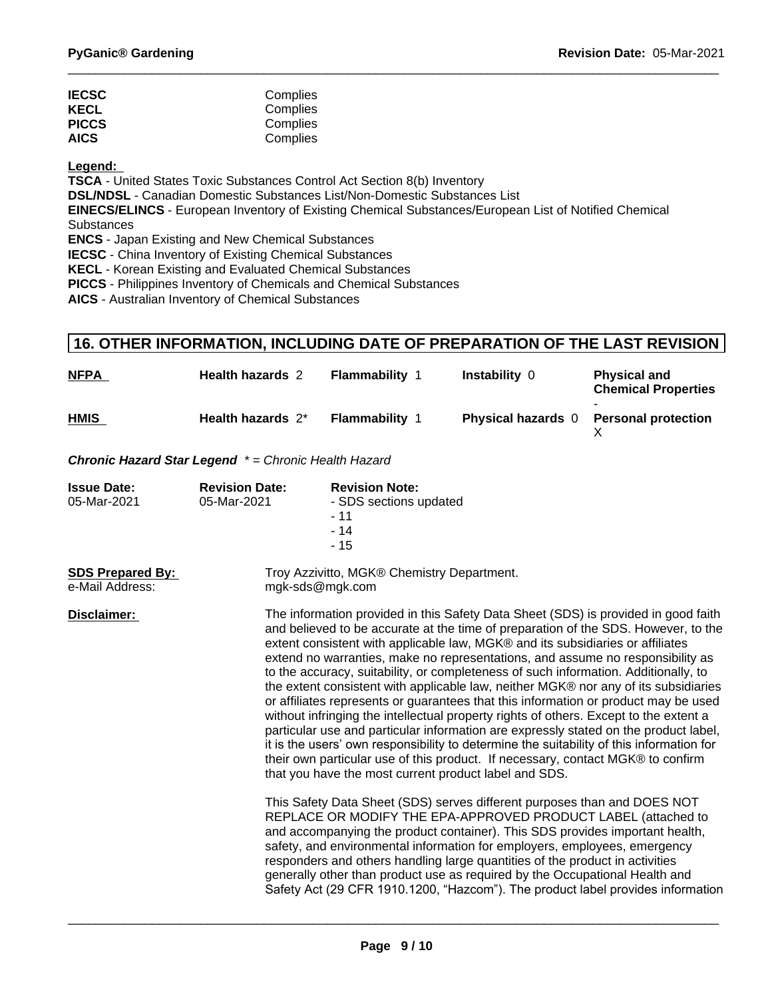| <b>IECSC</b> | Complies |
|--------------|----------|
| <b>KECL</b>  | Complies |
| <b>PICCS</b> | Complies |
| <b>AICS</b>  | Complies |

**Legend:** 

**TSCA** - United States Toxic Substances Control Act Section 8(b) Inventory

**DSL/NDSL** - Canadian Domestic Substances List/Non-Domestic Substances List

**EINECS/ELINCS** - European Inventory of Existing Chemical Substances/European List of Notified Chemical **Substances** 

**ENCS** - Japan Existing and New Chemical Substances

**IECSC** - China Inventory of Existing Chemical Substances

**KECL** - Korean Existing and Evaluated Chemical Substances

**PICCS** - Philippines Inventory of Chemicals and Chemical Substances

**AICS** - Australian Inventory of Chemical Substances

# **16. OTHER INFORMATION, INCLUDING DATE OF PREPARATION OF THE LAST REVISION**

| <b>NFPA</b>                                                                                                                                                                                                                    | <b>Health hazards 2</b>                             | Flammability 1                                      | Instability 0             | <b>Physical and</b><br><b>Chemical Properties</b> |
|--------------------------------------------------------------------------------------------------------------------------------------------------------------------------------------------------------------------------------|-----------------------------------------------------|-----------------------------------------------------|---------------------------|---------------------------------------------------|
| HMIS                                                                                                                                                                                                                           | Health hazards 2*                                   | Flammability                                        | <b>Physical hazards</b> 0 | <b>Personal protection</b>                        |
|                                                                                                                                                                                                                                | Chronic Hazard Star Legend *= Chronic Health Hazard |                                                     |                           |                                                   |
| La construction of the Construction of the Construction of the Construction of the Construction of the Construction of the Construction of the Construction of the Construction of the Construction of the Construction of the |                                                     | Production and an article of the first state of the |                           |                                                   |

| <b>Issue Date:</b><br>05-Mar-2021          | <b>Revision Date:</b><br>05-Mar-2021 | <b>Revision Note:</b><br>- SDS sections updated<br>- 11<br>$-14$<br>$-15$                                                                                                                                                                                                                                                                                                                                                                                                                                                                                                                                                                                                                                                                                                                                                                                                                                                                                                                                                                  |  |
|--------------------------------------------|--------------------------------------|--------------------------------------------------------------------------------------------------------------------------------------------------------------------------------------------------------------------------------------------------------------------------------------------------------------------------------------------------------------------------------------------------------------------------------------------------------------------------------------------------------------------------------------------------------------------------------------------------------------------------------------------------------------------------------------------------------------------------------------------------------------------------------------------------------------------------------------------------------------------------------------------------------------------------------------------------------------------------------------------------------------------------------------------|--|
| <b>SDS Prepared By:</b><br>e-Mail Address: |                                      | Troy Azzivitto, MGK® Chemistry Department.<br>mgk-sds@mgk.com                                                                                                                                                                                                                                                                                                                                                                                                                                                                                                                                                                                                                                                                                                                                                                                                                                                                                                                                                                              |  |
| Disclaimer:                                |                                      | The information provided in this Safety Data Sheet (SDS) is provided in good faith<br>and believed to be accurate at the time of preparation of the SDS. However, to the<br>extent consistent with applicable law, MGK® and its subsidiaries or affiliates<br>extend no warranties, make no representations, and assume no responsibility as<br>to the accuracy, suitability, or completeness of such information. Additionally, to<br>the extent consistent with applicable law, neither MGK® nor any of its subsidiaries<br>or affiliates represents or guarantees that this information or product may be used<br>without infringing the intellectual property rights of others. Except to the extent a<br>particular use and particular information are expressly stated on the product label,<br>it is the users' own responsibility to determine the suitability of this information for<br>their own particular use of this product. If necessary, contact MGK® to confirm<br>that you have the most current product label and SDS. |  |
|                                            |                                      | This Safety Data Sheet (SDS) serves different purposes than and DOES NOT<br>REPLACE OR MODIFY THE EPA-APPROVED PRODUCT LABEL (attached to<br>and accompanying the product container). This SDS provides important health,<br>safety, and environmental information for employers, employees, emergency<br>responders and others handling large quantities of the product in activities<br>generally other than product use as required by the Occupational Health and<br>Safety Act (29 CFR 1910.1200, "Hazcom"). The product label provides information                                                                                                                                                                                                                                                                                                                                                                                                                                                                                   |  |